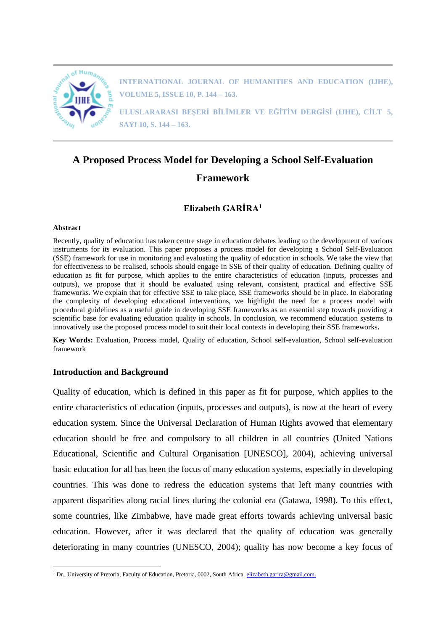

**INTERNATIONAL JOURNAL OF HUMANITIES AND EDUCATION (IJHE), VOLUME 5, ISSUE 10, P. 144 – 163.**

**ULUSLARARASI BEŞERİ BİLİMLER VE EĞİTİM DERGİSİ (IJHE), CİLT 5, SAYI 10, S. 144 – 163.**

# **A Proposed Process Model for Developing a School Self-Evaluation Framework**

### **Elizabeth GARİRA<sup>1</sup>**

#### **Abstract**

Recently, quality of education has taken centre stage in education debates leading to the development of various instruments for its evaluation. This paper proposes a process model for developing a School Self-Evaluation (SSE) framework for use in monitoring and evaluating the quality of education in schools. We take the view that for effectiveness to be realised, schools should engage in SSE of their quality of education. Defining quality of education as fit for purpose, which applies to the entire characteristics of education (inputs, processes and outputs), we propose that it should be evaluated using relevant, consistent, practical and effective SSE frameworks. We explain that for effective SSE to take place, SSE frameworks should be in place. In elaborating the complexity of developing educational interventions, we highlight the need for a process model with procedural guidelines as a useful guide in developing SSE frameworks as an essential step towards providing a scientific base for evaluating education quality in schools. In conclusion, we recommend education systems to innovatively use the proposed process model to suit their local contexts in developing their SSE frameworks**.** 

**Key Words:** Evaluation, Process model, Quality of education, School self-evaluation, School self-evaluation framework

#### **Introduction and Background**

Quality of education, which is defined in this paper as fit for purpose, which applies to the entire characteristics of education (inputs, processes and outputs), is now at the heart of every education system. Since the Universal Declaration of Human Rights avowed that elementary education should be free and compulsory to all children in all countries (United Nations Educational, Scientific and Cultural Organisation [UNESCO], 2004), achieving universal basic education for all has been the focus of many education systems, especially in developing countries. This was done to redress the education systems that left many countries with apparent disparities along racial lines during the colonial era (Gatawa, 1998). To this effect, some countries, like Zimbabwe, have made great efforts towards achieving universal basic education. However, after it was declared that the quality of education was generally deteriorating in many countries (UNESCO, 2004); quality has now become a key focus of

<sup>1</sup> <sup>1</sup> Dr., University of Pretoria, Faculty of Education, Pretoria, 0002, South Africa. [elizabeth.garira@gmail.com.](mailto:elizabeth.garira@gmail.com)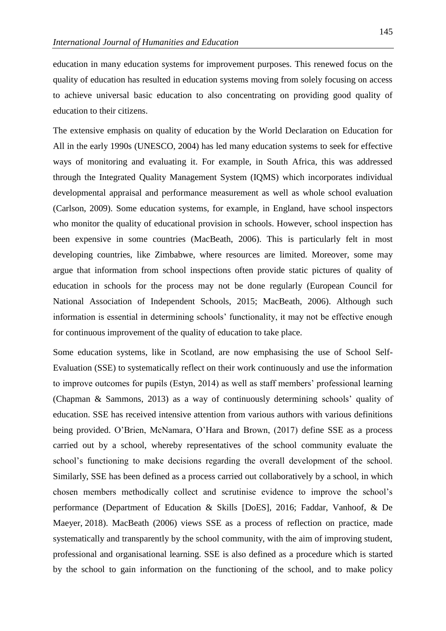education in many education systems for improvement purposes. This renewed focus on the quality of education has resulted in education systems moving from solely focusing on access to achieve universal basic education to also concentrating on providing good quality of education to their citizens.

The extensive emphasis on quality of education by the World Declaration on Education for All in the early 1990s (UNESCO, 2004) has led many education systems to seek for effective ways of monitoring and evaluating it. For example, in South Africa, this was addressed through the Integrated Quality Management System (IQMS) which incorporates individual developmental appraisal and performance measurement as well as whole school evaluation (Carlson, 2009). Some education systems, for example, in England, have school inspectors who monitor the quality of educational provision in schools. However, school inspection has been expensive in some countries (MacBeath, 2006). This is particularly felt in most developing countries, like Zimbabwe, where resources are limited. Moreover, some may argue that information from school inspections often provide static pictures of quality of education in schools for the process may not be done regularly (European Council for National Association of Independent Schools, 2015; MacBeath, 2006). Although such information is essential in determining schools' functionality, it may not be effective enough for continuous improvement of the quality of education to take place.

Some education systems, like in Scotland, are now emphasising the use of School Self-Evaluation (SSE) to systematically reflect on their work continuously and use the information to improve outcomes for pupils (Estyn, 2014) as well as staff members' professional learning (Chapman & Sammons, 2013) as a way of continuously determining schools' quality of education. SSE has received intensive attention from various authors with various definitions being provided. O'Brien, McNamara, O'Hara and Brown, (2017) define SSE as a process carried out by a school, whereby representatives of the school community evaluate the school's functioning to make decisions regarding the overall development of the school. Similarly, SSE has been defined as a process carried out collaboratively by a school, in which chosen members methodically collect and scrutinise evidence to improve the school's performance (Department of Education & Skills [DoES], 2016; Faddar, Vanhoof, & De Maeyer, 2018). MacBeath (2006) views SSE as a process of reflection on practice, made systematically and transparently by the school community, with the aim of improving student, professional and organisational learning. SSE is also defined as a procedure which is started by the school to gain information on the functioning of the school, and to make policy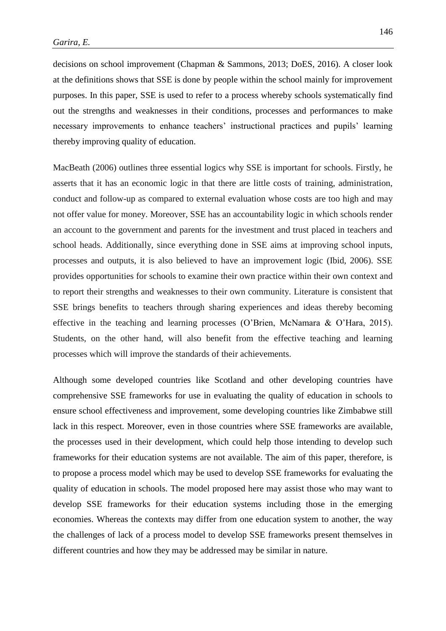decisions on school improvement (Chapman & Sammons, 2013; DoES, 2016). A closer look at the definitions shows that SSE is done by people within the school mainly for improvement purposes. In this paper, SSE is used to refer to a process whereby schools systematically find out the strengths and weaknesses in their conditions, processes and performances to make necessary improvements to enhance teachers' instructional practices and pupils' learning thereby improving quality of education.

MacBeath (2006) outlines three essential logics why SSE is important for schools. Firstly, he asserts that it has an economic logic in that there are little costs of training, administration, conduct and follow-up as compared to external evaluation whose costs are too high and may not offer value for money. Moreover, SSE has an accountability logic in which schools render an account to the government and parents for the investment and trust placed in teachers and school heads. Additionally, since everything done in SSE aims at improving school inputs, processes and outputs, it is also believed to have an improvement logic (Ibid, 2006). SSE provides opportunities for schools to examine their own practice within their own context and to report their strengths and weaknesses to their own community. Literature is consistent that SSE brings benefits to teachers through sharing experiences and ideas thereby becoming effective in the teaching and learning processes (O'Brien, McNamara & O'Hara, 2015). Students, on the other hand, will also benefit from the effective teaching and learning processes which will improve the standards of their achievements.

Although some developed countries like Scotland and other developing countries have comprehensive SSE frameworks for use in evaluating the quality of education in schools to ensure school effectiveness and improvement, some developing countries like Zimbabwe still lack in this respect. Moreover, even in those countries where SSE frameworks are available, the processes used in their development, which could help those intending to develop such frameworks for their education systems are not available. The aim of this paper, therefore, is to propose a process model which may be used to develop SSE frameworks for evaluating the quality of education in schools. The model proposed here may assist those who may want to develop SSE frameworks for their education systems including those in the emerging economies. Whereas the contexts may differ from one education system to another, the way the challenges of lack of a process model to develop SSE frameworks present themselves in different countries and how they may be addressed may be similar in nature.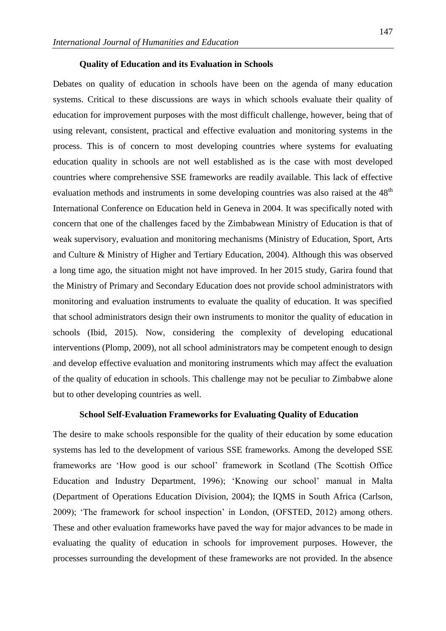#### **Quality of Education and its Evaluation in Schools**

Debates on quality of education in schools have been on the agenda of many education systems. Critical to these discussions are ways in which schools evaluate their quality of education for improvement purposes with the most difficult challenge, however, being that of using relevant, consistent, practical and effective evaluation and monitoring systems in the process. This is of concern to most developing countries where systems for evaluating education quality in schools are not well established as is the case with most developed countries where comprehensive SSE frameworks are readily available. This lack of effective evaluation methods and instruments in some developing countries was also raised at the 48<sup>th</sup> International Conference on Education held in Geneva in 2004. It was specifically noted with concern that one of the challenges faced by the Zimbabwean Ministry of Education is that of weak supervisory, evaluation and monitoring mechanisms (Ministry of Education, Sport, Arts and Culture & Ministry of Higher and Tertiary Education, 2004). Although this was observed a long time ago, the situation might not have improved. In her 2015 study, Garira found that the Ministry of Primary and Secondary Education does not provide school administrators with monitoring and evaluation instruments to evaluate the quality of education. It was specified that school administrators design their own instruments to monitor the quality of education in schools (Ibid, 2015). Now, considering the complexity of developing educational interventions (Plomp, 2009), not all school administrators may be competent enough to design and develop effective evaluation and monitoring instruments which may affect the evaluation of the quality of education in schools. This challenge may not be peculiar to Zimbabwe alone but to other developing countries as well.

#### **School Self-Evaluation Frameworks for Evaluating Quality of Education**

The desire to make schools responsible for the quality of their education by some education systems has led to the development of various SSE frameworks. Among the developed SSE frameworks are 'How good is our school' framework in Scotland (The Scottish Office Education and Industry Department, 1996); 'Knowing our school' manual in Malta (Department of Operations Education Division, 2004); the IQMS in South Africa (Carlson, 2009); 'The framework for school inspection' in London, (OFSTED, 2012) among others. These and other evaluation frameworks have paved the way for major advances to be made in evaluating the quality of education in schools for improvement purposes. However, the processes surrounding the development of these frameworks are not provided. In the absence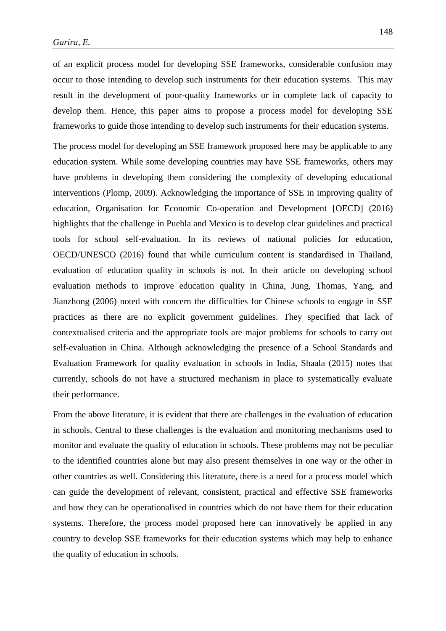of an explicit process model for developing SSE frameworks, considerable confusion may occur to those intending to develop such instruments for their education systems. This may result in the development of poor-quality frameworks or in complete lack of capacity to develop them. Hence, this paper aims to propose a process model for developing SSE frameworks to guide those intending to develop such instruments for their education systems.

The process model for developing an SSE framework proposed here may be applicable to any education system. While some developing countries may have SSE frameworks, others may have problems in developing them considering the complexity of developing educational interventions (Plomp, 2009). Acknowledging the importance of SSE in improving quality of education, Organisation for Economic Co-operation and Development [OECD] (2016) highlights that the challenge in Puebla and Mexico is to develop clear guidelines and practical tools for school self-evaluation. In its reviews of national policies for education, OECD/UNESCO (2016) found that while curriculum content is standardised in Thailand, evaluation of education quality in schools is not. In their article on developing school evaluation methods to improve education quality in China, Jung, Thomas, Yang, and Jianzhong (2006) noted with concern the difficulties for Chinese schools to engage in SSE practices as there are no explicit government guidelines. They specified that lack of contextualised criteria and the appropriate tools are major problems for schools to carry out self-evaluation in China. Although acknowledging the presence of a School Standards and Evaluation Framework for quality evaluation in schools in India, Shaala (2015) notes that currently, schools do not have a structured mechanism in place to systematically evaluate their performance.

From the above literature, it is evident that there are challenges in the evaluation of education in schools. Central to these challenges is the evaluation and monitoring mechanisms used to monitor and evaluate the quality of education in schools. These problems may not be peculiar to the identified countries alone but may also present themselves in one way or the other in other countries as well. Considering this literature, there is a need for a process model which can guide the development of relevant, consistent, practical and effective SSE frameworks and how they can be operationalised in countries which do not have them for their education systems. Therefore, the process model proposed here can innovatively be applied in any country to develop SSE frameworks for their education systems which may help to enhance the quality of education in schools.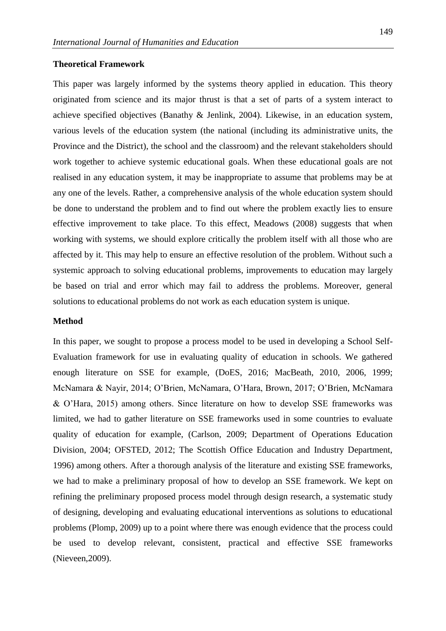#### **Theoretical Framework**

This paper was largely informed by the systems theory applied in education. This theory originated from science and its major thrust is that a set of parts of a system interact to achieve specified objectives (Banathy & Jenlink, 2004). Likewise, in an education system, various levels of the education system (the national (including its administrative units, the Province and the District), the school and the classroom) and the relevant stakeholders should work together to achieve systemic educational goals. When these educational goals are not realised in any education system, it may be inappropriate to assume that problems may be at any one of the levels. Rather, a comprehensive analysis of the whole education system should be done to understand the problem and to find out where the problem exactly lies to ensure effective improvement to take place. To this effect, Meadows (2008) suggests that when working with systems, we should explore critically the problem itself with all those who are affected by it. This may help to ensure an effective resolution of the problem. Without such a systemic approach to solving educational problems, improvements to education may largely be based on trial and error which may fail to address the problems. Moreover, general solutions to educational problems do not work as each education system is unique.

#### **Method**

In this paper, we sought to propose a process model to be used in developing a School Self-Evaluation framework for use in evaluating quality of education in schools. We gathered enough literature on SSE for example, (DoES, 2016; MacBeath, 2010, 2006, 1999; McNamara & Nayir, 2014; O'Brien, McNamara, O'Hara, Brown, 2017; O'Brien, McNamara & O'Hara, 2015) among others. Since literature on how to develop SSE frameworks was limited, we had to gather literature on SSE frameworks used in some countries to evaluate quality of education for example, (Carlson, 2009; Department of Operations Education Division, 2004; OFSTED, 2012; The Scottish Office Education and Industry Department, 1996) among others. After a thorough analysis of the literature and existing SSE frameworks, we had to make a preliminary proposal of how to develop an SSE framework. We kept on refining the preliminary proposed process model through design research, a systematic study of designing, developing and evaluating educational interventions as solutions to educational problems (Plomp, 2009) up to a point where there was enough evidence that the process could be used to develop relevant, consistent, practical and effective SSE frameworks (Nieveen,2009).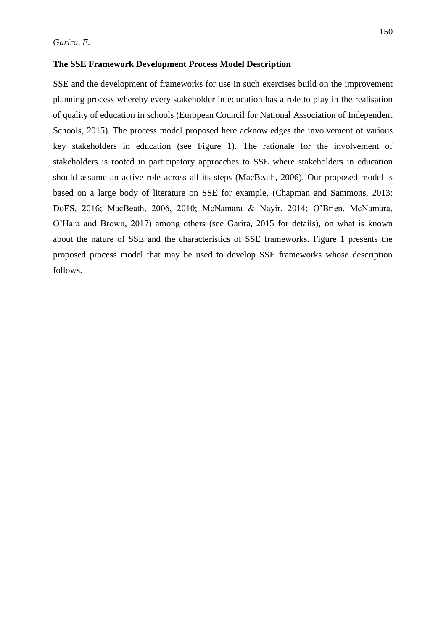#### **The SSE Framework Development Process Model Description**

SSE and the development of frameworks for use in such exercises build on the improvement planning process whereby every stakeholder in education has a role to play in the realisation of quality of education in schools (European Council for National Association of Independent Schools, 2015). The process model proposed here acknowledges the involvement of various key stakeholders in education (see Figure 1). The rationale for the involvement of stakeholders is rooted in participatory approaches to SSE where stakeholders in education should assume an active role across all its steps (MacBeath, 2006). Our proposed model is based on a large body of literature on SSE for example, (Chapman and Sammons, 2013; DoES, 2016; MacBeath, 2006, 2010; McNamara & Nayir, 2014; O'Brien, McNamara, O'Hara and Brown, 2017) among others (see Garira, 2015 for details), on what is known about the nature of SSE and the characteristics of SSE frameworks. Figure 1 presents the proposed process model that may be used to develop SSE frameworks whose description follows.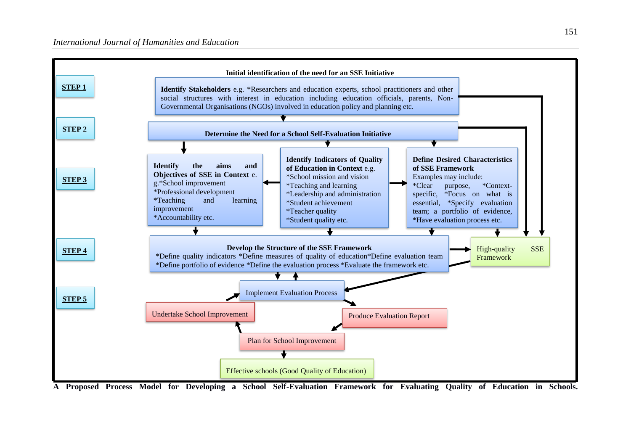

**A Proposed Process Model for Developing a School Self-Evaluation Framework for Evaluating Quality of Education in Schools.**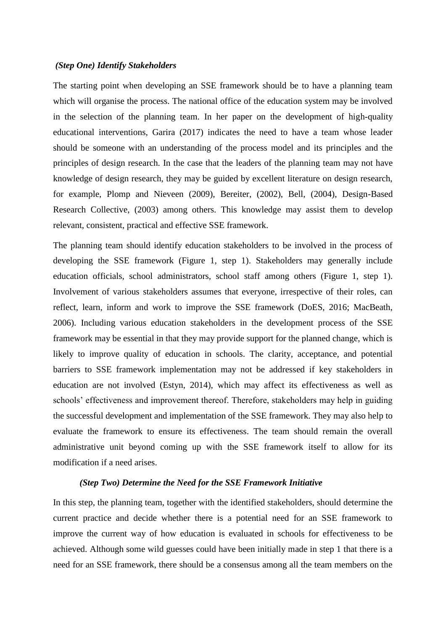#### *(Step One) Identify Stakeholders*

The starting point when developing an SSE framework should be to have a planning team which will organise the process. The national office of the education system may be involved in the selection of the planning team. In her paper on the development of high-quality educational interventions, Garira (2017) indicates the need to have a team whose leader should be someone with an understanding of the process model and its principles and the principles of design research. In the case that the leaders of the planning team may not have knowledge of design research, they may be guided by excellent literature on design research, for example, Plomp and Nieveen (2009), Bereiter, (2002), Bell, (2004), Design-Based Research Collective, (2003) among others. This knowledge may assist them to develop relevant, consistent, practical and effective SSE framework.

The planning team should identify education stakeholders to be involved in the process of developing the SSE framework (Figure 1, step 1). Stakeholders may generally include education officials, school administrators, school staff among others (Figure 1, step 1). Involvement of various stakeholders assumes that everyone, irrespective of their roles, can reflect, learn, inform and work to improve the SSE framework (DoES, 2016; MacBeath, 2006). Including various education stakeholders in the development process of the SSE framework may be essential in that they may provide support for the planned change, which is likely to improve quality of education in schools. The clarity, acceptance, and potential barriers to SSE framework implementation may not be addressed if key stakeholders in education are not involved (Estyn, 2014), which may affect its effectiveness as well as schools' effectiveness and improvement thereof. Therefore, stakeholders may help in guiding the successful development and implementation of the SSE framework. They may also help to evaluate the framework to ensure its effectiveness. The team should remain the overall administrative unit beyond coming up with the SSE framework itself to allow for its modification if a need arises.

#### *(Step Two) Determine the Need for the SSE Framework Initiative*

In this step, the planning team, together with the identified stakeholders, should determine the current practice and decide whether there is a potential need for an SSE framework to improve the current way of how education is evaluated in schools for effectiveness to be achieved. Although some wild guesses could have been initially made in step 1 that there is a need for an SSE framework, there should be a consensus among all the team members on the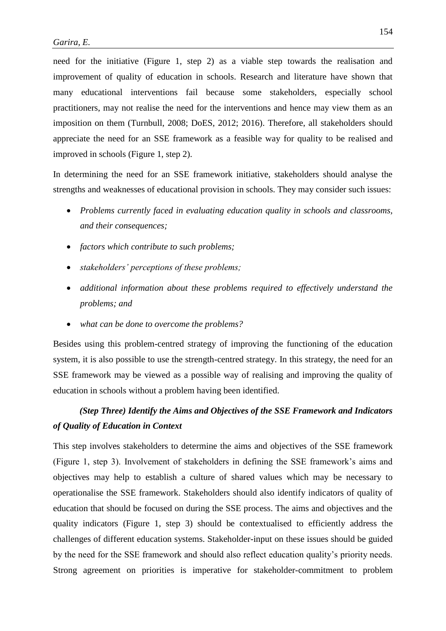need for the initiative (Figure 1, step 2) as a viable step towards the realisation and improvement of quality of education in schools. Research and literature have shown that many educational interventions fail because some stakeholders, especially school practitioners, may not realise the need for the interventions and hence may view them as an imposition on them (Turnbull, 2008; DoES, 2012; 2016). Therefore, all stakeholders should appreciate the need for an SSE framework as a feasible way for quality to be realised and improved in schools (Figure 1, step 2).

In determining the need for an SSE framework initiative, stakeholders should analyse the strengths and weaknesses of educational provision in schools. They may consider such issues:

- *Problems currently faced in evaluating education quality in schools and classrooms, and their consequences;*
- *factors which contribute to such problems;*
- *stakeholders' perceptions of these problems;*
- *additional information about these problems required to effectively understand the problems; and*
- *what can be done to overcome the problems?*

Besides using this problem-centred strategy of improving the functioning of the education system, it is also possible to use the strength-centred strategy. In this strategy, the need for an SSE framework may be viewed as a possible way of realising and improving the quality of education in schools without a problem having been identified.

### *(Step Three) Identify the Aims and Objectives of the SSE Framework and Indicators of Quality of Education in Context*

This step involves stakeholders to determine the aims and objectives of the SSE framework (Figure 1, step 3). Involvement of stakeholders in defining the SSE framework's aims and objectives may help to establish a culture of shared values which may be necessary to operationalise the SSE framework. Stakeholders should also identify indicators of quality of education that should be focused on during the SSE process. The aims and objectives and the quality indicators (Figure 1, step 3) should be contextualised to efficiently address the challenges of different education systems. Stakeholder-input on these issues should be guided by the need for the SSE framework and should also reflect education quality's priority needs. Strong agreement on priorities is imperative for stakeholder-commitment to problem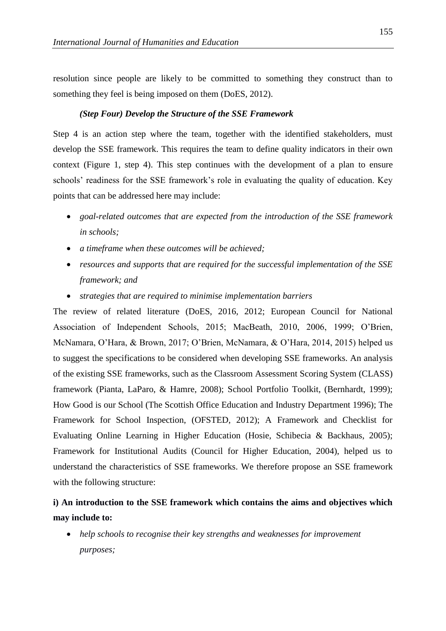resolution since people are likely to be committed to something they construct than to something they feel is being imposed on them (DoES, 2012).

#### *(Step Four) Develop the Structure of the SSE Framework*

Step 4 is an action step where the team, together with the identified stakeholders, must develop the SSE framework. This requires the team to define quality indicators in their own context (Figure 1, step 4). This step continues with the development of a plan to ensure schools' readiness for the SSE framework's role in evaluating the quality of education. Key points that can be addressed here may include:

- *goal-related outcomes that are expected from the introduction of the SSE framework in schools;*
- *a timeframe when these outcomes will be achieved;*
- *resources and supports that are required for the successful implementation of the SSE framework; and*
- *strategies that are required to minimise implementation barriers*

The review of related literature (DoES, 2016, 2012; European Council for National Association of Independent Schools, 2015; MacBeath, 2010, 2006, 1999; O'Brien, McNamara, O'Hara, & Brown, 2017; O'Brien, McNamara, & O'Hara, 2014, 2015) helped us to suggest the specifications to be considered when developing SSE frameworks. An analysis of the existing SSE frameworks, such as the Classroom Assessment Scoring System (CLASS) framework (Pianta, LaParo, & Hamre, 2008); School Portfolio Toolkit, (Bernhardt, 1999); How Good is our School (The Scottish Office Education and Industry Department 1996); The Framework for School Inspection, (OFSTED, 2012); A Framework and Checklist for Evaluating Online Learning in Higher Education (Hosie, Schibecia & Backhaus, 2005); Framework for Institutional Audits (Council for Higher Education, 2004), helped us to understand the characteristics of SSE frameworks. We therefore propose an SSE framework with the following structure:

### **i) An introduction to the SSE framework which contains the aims and objectives which may include to:**

• *help schools to recognise their key strengths and weaknesses for improvement purposes;*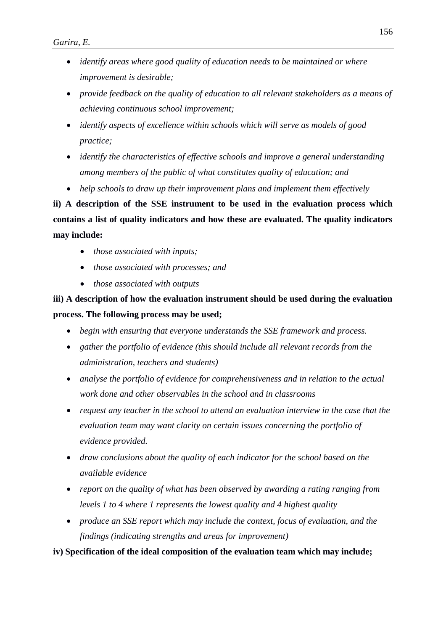- *identify areas where good quality of education needs to be maintained or where improvement is desirable;*
- *provide feedback on the quality of education to all relevant stakeholders as a means of achieving continuous school improvement;*
- *identify aspects of excellence within schools which will serve as models of good practice;*
- *identify the characteristics of effective schools and improve a general understanding among members of the public of what constitutes quality of education; and*
- *help schools to draw up their improvement plans and implement them effectively*

**ii) A description of the SSE instrument to be used in the evaluation process which contains a list of quality indicators and how these are evaluated. The quality indicators may include:**

- *those associated with inputs;*
- *those associated with processes; and*
- *those associated with outputs*

## **iii) A description of how the evaluation instrument should be used during the evaluation process. The following process may be used;**

- *begin with ensuring that everyone understands the SSE framework and process.*
- *gather the portfolio of evidence (this should include all relevant records from the administration, teachers and students)*
- *analyse the portfolio of evidence for comprehensiveness and in relation to the actual work done and other observables in the school and in classrooms*
- *request any teacher in the school to attend an evaluation interview in the case that the evaluation team may want clarity on certain issues concerning the portfolio of evidence provided.*
- *draw conclusions about the quality of each indicator for the school based on the available evidence*
- *report on the quality of what has been observed by awarding a rating ranging from levels 1 to 4 where 1 represents the lowest quality and 4 highest quality*
- *produce an SSE report which may include the context, focus of evaluation, and the findings (indicating strengths and areas for improvement)*

**iv) Specification of the ideal composition of the evaluation team which may include;**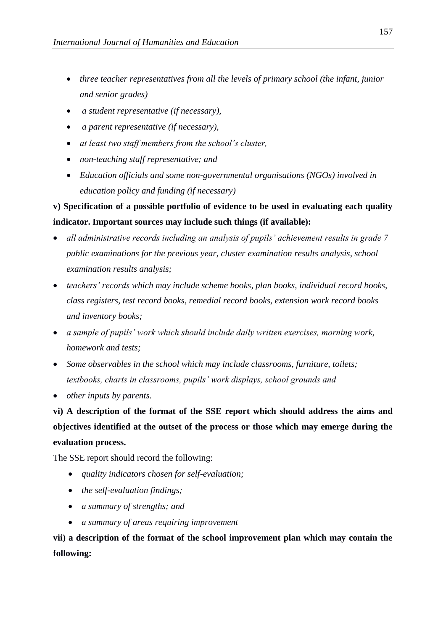- *three teacher representatives from all the levels of primary school (the infant, junior and senior grades)*
- *a student representative (if necessary),*
- *a parent representative (if necessary),*
- *at least two staff members from the school's cluster,*
- *non-teaching staff representative; and*
- *Education officials and some non-governmental organisations (NGOs) involved in education policy and funding (if necessary)*

### **v) Specification of a possible portfolio of evidence to be used in evaluating each quality indicator. Important sources may include such things (if available):**

- *all administrative records including an analysis of pupils' achievement results in grade 7 public examinations for the previous year, cluster examination results analysis, school examination results analysis;*
- *teachers' records which may include scheme books, plan books, individual record books, class registers, test record books, remedial record books, extension work record books and inventory books;*
- *a sample of pupils' work which should include daily written exercises, morning work, homework and tests;*
- *Some observables in the school which may include classrooms, furniture, toilets; textbooks, charts in classrooms, pupils' work displays, school grounds and*
- *other inputs by parents.*

**vi) A description of the format of the SSE report which should address the aims and objectives identified at the outset of the process or those which may emerge during the evaluation process.** 

The SSE report should record the following:

- *quality indicators chosen for self-evaluation;*
- *the self-evaluation findings;*
- *a summary of strengths; and*
- *a summary of areas requiring improvement*

**vii) a description of the format of the school improvement plan which may contain the following:**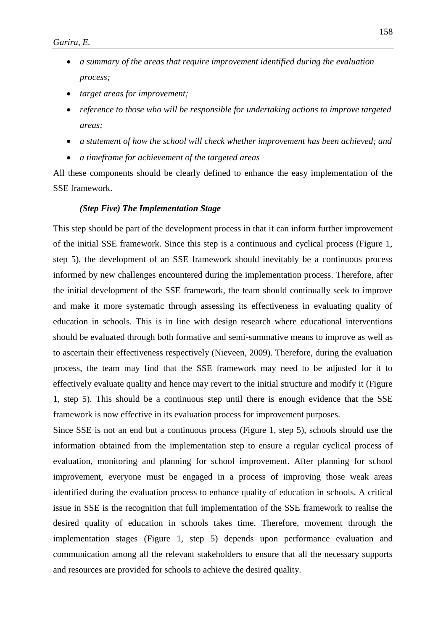- *a summary of the areas that require improvement identified during the evaluation process;*
- *target areas for improvement;*
- *reference to those who will be responsible for undertaking actions to improve targeted areas;*
- *a statement of how the school will check whether improvement has been achieved; and*
- *a timeframe for achievement of the targeted areas*

All these components should be clearly defined to enhance the easy implementation of the SSE framework.

#### *(Step Five) The Implementation Stage*

This step should be part of the development process in that it can inform further improvement of the initial SSE framework. Since this step is a continuous and cyclical process (Figure 1, step 5), the development of an SSE framework should inevitably be a continuous process informed by new challenges encountered during the implementation process. Therefore, after the initial development of the SSE framework, the team should continually seek to improve and make it more systematic through assessing its effectiveness in evaluating quality of education in schools. This is in line with design research where educational interventions should be evaluated through both formative and semi-summative means to improve as well as to ascertain their effectiveness respectively (Nieveen, 2009). Therefore, during the evaluation process, the team may find that the SSE framework may need to be adjusted for it to effectively evaluate quality and hence may revert to the initial structure and modify it (Figure 1, step 5). This should be a continuous step until there is enough evidence that the SSE framework is now effective in its evaluation process for improvement purposes.

Since SSE is not an end but a continuous process (Figure 1, step 5), schools should use the information obtained from the implementation step to ensure a regular cyclical process of evaluation, monitoring and planning for school improvement. After planning for school improvement, everyone must be engaged in a process of improving those weak areas identified during the evaluation process to enhance quality of education in schools. A critical issue in SSE is the recognition that full implementation of the SSE framework to realise the desired quality of education in schools takes time. Therefore, movement through the implementation stages (Figure 1, step 5) depends upon performance evaluation and communication among all the relevant stakeholders to ensure that all the necessary supports and resources are provided for schools to achieve the desired quality.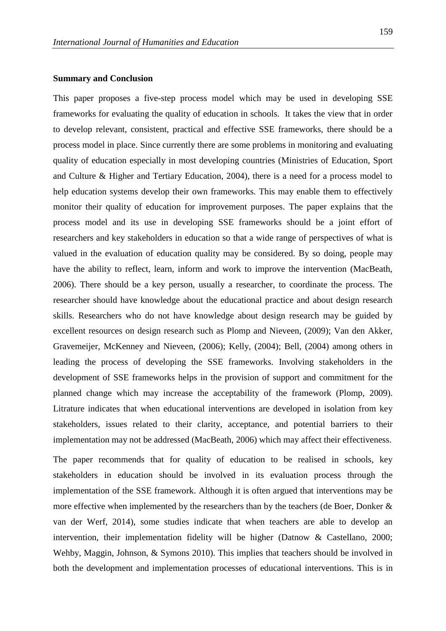#### **Summary and Conclusion**

This paper proposes a five-step process model which may be used in developing SSE frameworks for evaluating the quality of education in schools. It takes the view that in order to develop relevant, consistent, practical and effective SSE frameworks, there should be a process model in place. Since currently there are some problems in monitoring and evaluating quality of education especially in most developing countries (Ministries of Education, Sport and Culture & Higher and Tertiary Education, 2004), there is a need for a process model to help education systems develop their own frameworks. This may enable them to effectively monitor their quality of education for improvement purposes. The paper explains that the process model and its use in developing SSE frameworks should be a joint effort of researchers and key stakeholders in education so that a wide range of perspectives of what is valued in the evaluation of education quality may be considered. By so doing, people may have the ability to reflect, learn, inform and work to improve the intervention (MacBeath, 2006). There should be a key person, usually a researcher, to coordinate the process. The researcher should have knowledge about the educational practice and about design research skills. Researchers who do not have knowledge about design research may be guided by excellent resources on design research such as Plomp and Nieveen, (2009); Van den Akker, Gravemeijer, McKenney and Nieveen, (2006); Kelly, (2004); Bell, (2004) among others in leading the process of developing the SSE frameworks. Involving stakeholders in the development of SSE frameworks helps in the provision of support and commitment for the planned change which may increase the acceptability of the framework (Plomp, 2009). Litrature indicates that when educational interventions are developed in isolation from key stakeholders, issues related to their clarity, acceptance, and potential barriers to their implementation may not be addressed (MacBeath, 2006) which may affect their effectiveness.

The paper recommends that for quality of education to be realised in schools, key stakeholders in education should be involved in its evaluation process through the implementation of the SSE framework. Although it is often argued that interventions may be more effective when implemented by the researchers than by the teachers (de Boer, Donker & van der Werf, 2014), some studies indicate that when teachers are able to develop an intervention, their implementation fidelity will be higher (Datnow & Castellano, 2000; Wehby, Maggin, Johnson, & Symons 2010). This implies that teachers should be involved in both the development and implementation processes of educational interventions. This is in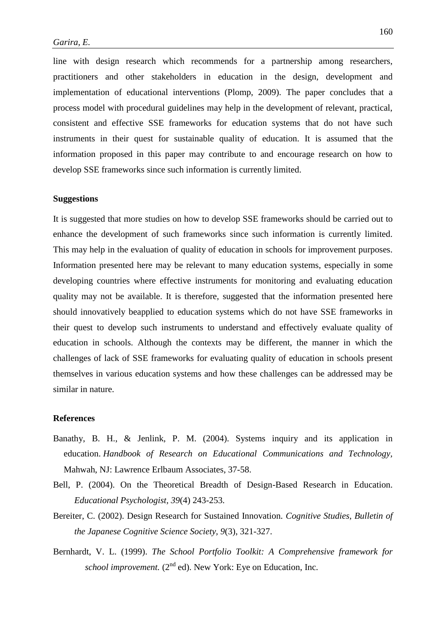line with design research which recommends for a partnership among researchers, practitioners and other stakeholders in education in the design, development and implementation of educational interventions (Plomp, 2009). The paper concludes that a process model with procedural guidelines may help in the development of relevant, practical, consistent and effective SSE frameworks for education systems that do not have such instruments in their quest for sustainable quality of education. It is assumed that the information proposed in this paper may contribute to and encourage research on how to develop SSE frameworks since such information is currently limited.

#### **Suggestions**

It is suggested that more studies on how to develop SSE frameworks should be carried out to enhance the development of such frameworks since such information is currently limited. This may help in the evaluation of quality of education in schools for improvement purposes. Information presented here may be relevant to many education systems, especially in some developing countries where effective instruments for monitoring and evaluating education quality may not be available. It is therefore, suggested that the information presented here should innovatively beapplied to education systems which do not have SSE frameworks in their quest to develop such instruments to understand and effectively evaluate quality of education in schools. Although the contexts may be different, the manner in which the challenges of lack of SSE frameworks for evaluating quality of education in schools present themselves in various education systems and how these challenges can be addressed may be similar in nature.

#### **References**

- Banathy, B. H., & Jenlink, P. M. (2004). Systems inquiry and its application in education. *Handbook of Research on Educational Communications and Technology,*  Mahwah, NJ: Lawrence Erlbaum Associates, 37-58.
- Bell, P. (2004). On the Theoretical Breadth of Design-Based Research in Education. *Educational Psychologist, 39*(4) 243-253.
- Bereiter, C. (2002). Design Research for Sustained Innovation*. Cognitive Studies, Bulletin of the Japanese Cognitive Science Society, 9*(3), 321-327.
- Bernhardt, V. L. (1999). *The School Portfolio Toolkit: A Comprehensive framework for school improvement.* (2<sup>nd</sup> ed). New York: Eye on Education, Inc.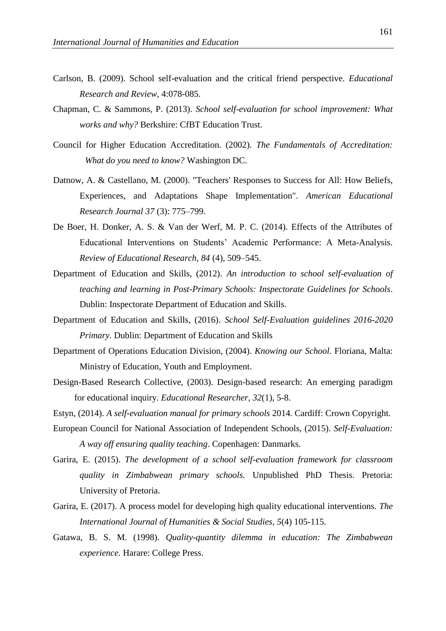- Carlson, B. (2009). School self-evaluation and the critical friend perspective. *Educational Research and Review,* 4:078-085.
- Chapman, C. & Sammons, P. (2013). *School self-evaluation for school improvement: What works and why?* Berkshire: CfBT Education Trust.
- Council for Higher Education Accreditation. (2002). *The Fundamentals of Accreditation: What do you need to know?* Washington DC.
- Datnow, A. & Castellano, M. (2000). "Teachers' Responses to Success for All: How Beliefs, Experiences, and Adaptations Shape Implementation". *American Educational Research Journal 37* (3): 775–799.
- De Boer, H. Donker, A. S. & Van der Werf, M. P. C. (2014). Effects of the Attributes of Educational Interventions on Students' Academic Performance: A Meta-Analysis. *Review of Educational Research, 84* (4), 509–545.
- Department of Education and Skills, (2012). *An introduction to school self-evaluation of teaching and learning in Post-Primary Schools: Inspectorate Guidelines for Schools*. Dublin: Inspectorate Department of Education and Skills.
- Department of Education and Skills, (2016). *School Self-Evaluation guidelines 2016-2020 Primary.* Dublin: Department of Education and Skills
- Department of Operations Education Division, (2004). *Knowing our School.* Floriana, Malta: Ministry of Education, Youth and Employment.
- Design-Based Research Collective, (2003). Design-based research: An emerging paradigm for educational inquiry. *Educational Researcher, 32*(1), 5-8.
- Estyn, (2014). *A self-evaluation manual for primary schools* 2014. Cardiff: Crown Copyright.
- European Council for National Association of Independent Schools, (2015). *Self-Evaluation: A way off ensuring quality teaching*. Copenhagen: Danmarks.
- Garira, E. (2015). *The development of a school self-evaluation framework for classroom quality in Zimbabwean primary schools.* Unpublished PhD Thesis. Pretoria: University of Pretoria.
- Garira, E. (2017). A process model for developing high quality educational interventions. *The International Journal of Humanities & Social Studies, 5*(4) 105-115.
- Gatawa, B. S. M. (1998). *Quality-quantity dilemma in education: The Zimbabwean experience.* Harare: College Press.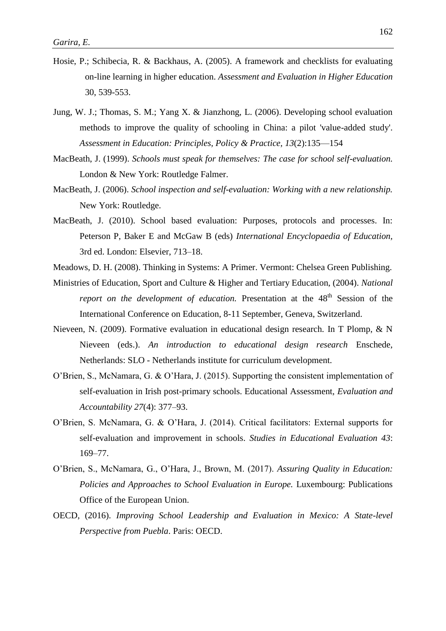- Hosie, P.; Schibecia, R. & Backhaus, A. (2005). A framework and checklists for evaluating on-line learning in higher education. *Assessment and Evaluation in Higher Education* 30, 539-553.
- Jung, W. J.; Thomas, S. M.; Yang X. & Jianzhong, L. (2006). Developing school evaluation methods to improve the quality of schooling in China: a pilot 'value-added study'. *Assessment in Education: Principles, Policy & Practice, 13*(2):135—154
- MacBeath, J. (1999). *Schools must speak for themselves: The case for school self-evaluation.* London & New York: Routledge Falmer.
- MacBeath, J. (2006). *School inspection and self-evaluation: Working with a new relationship.* New York: Routledge.
- MacBeath, J. (2010). School based evaluation: Purposes, protocols and processes. In: Peterson P, Baker E and McGaw B (eds) *International Encyclopaedia of Education,* 3rd ed. London: Elsevier, 713–18.
- Meadows, D. H. (2008). Thinking in Systems: A Primer. Vermont: Chelsea Green Publishing.
- Ministries of Education, Sport and Culture & Higher and Tertiary Education, (2004). *National report on the development of education.* Presentation at the 48<sup>th</sup> Session of the International Conference on Education, 8-11 September, Geneva, Switzerland.
- Nieveen, N. (2009). Formative evaluation in educational design research. In T Plomp, & N Nieveen (eds.). *An introduction to educational design research* Enschede, Netherlands: SLO - Netherlands institute for curriculum development.
- O'Brien, S., McNamara, G. & O'Hara, J. (2015). Supporting the consistent implementation of self-evaluation in Irish post-primary schools. Educational Assessment, *Evaluation and Accountability 27*(4): 377–93.
- O'Brien, S. McNamara, G. & O'Hara, J. (2014). Critical facilitators: External supports for self-evaluation and improvement in schools. *Studies in Educational Evaluation 43*: 169–77.
- O'Brien, S., McNamara, G., O'Hara, J., Brown, M. (2017). *Assuring Quality in Education: Policies and Approaches to School Evaluation in Europe.* Luxembourg: Publications Office of the European Union.
- OECD, (2016). *Improving School Leadership and Evaluation in Mexico: A State-level Perspective from Puebla*. Paris: OECD.